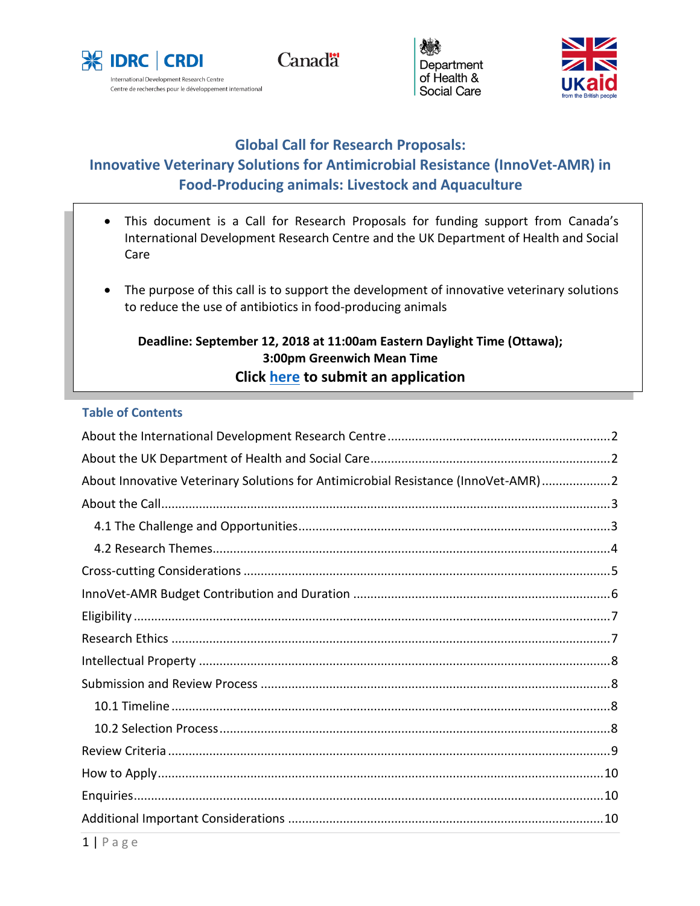

**Canadä** 





# **Global Call for Research Proposals: Innovative Veterinary Solutions for Antimicrobial Resistance (InnoVet-AMR) in Food-Producing animals: Livestock and Aquaculture**

- This document is a Call for Research Proposals for funding support from Canada's International Development Research Centre and the UK Department of Health and Social Care
- The purpose of this call is to support the development of innovative veterinary solutions to reduce the use of antibiotics in food-producing animals

# **Deadline: September 12, 2018 at 11:00am Eastern Daylight Time (Ottawa); 3:00pm Greenwich Mean Time Click [here](https://innovet-amr-ram.fluidreview.com/) to submit an application**

# **Table of Contents**

| About Innovative Veterinary Solutions for Antimicrobial Resistance (InnoVet-AMR)2 |
|-----------------------------------------------------------------------------------|
|                                                                                   |
|                                                                                   |
|                                                                                   |
|                                                                                   |
|                                                                                   |
|                                                                                   |
|                                                                                   |
|                                                                                   |
|                                                                                   |
|                                                                                   |
|                                                                                   |
|                                                                                   |
|                                                                                   |
|                                                                                   |
|                                                                                   |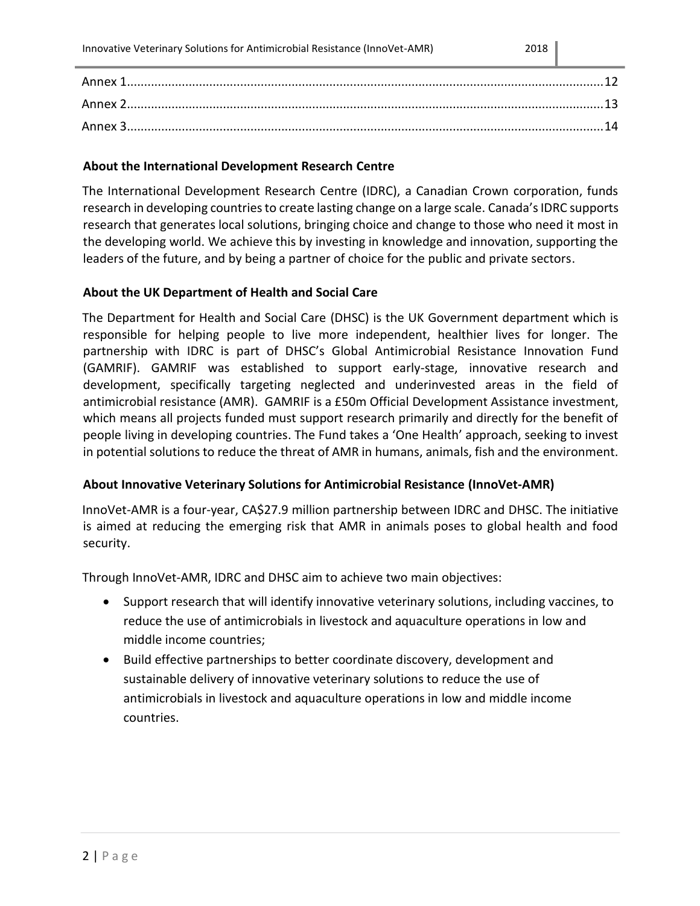### <span id="page-1-0"></span>**About the International Development Research Centre**

The International Development Research Centre (IDRC), a Canadian Crown corporation, funds research in developing countries to create lasting change on a large scale. Canada's IDRC supports research that generates local solutions, bringing choice and change to those who need it most in the developing world. We achieve this by investing in knowledge and innovation, supporting the leaders of the future, and by being a partner of choice for the public and private sectors.

# <span id="page-1-1"></span>**About the UK Department of Health and Social Care**

The Department for Health and Social Care (DHSC) is the UK Government department which is responsible for helping people to live more independent, healthier lives for longer. The partnership with IDRC is part of DHSC's Global Antimicrobial Resistance Innovation Fund (GAMRIF). GAMRIF was established to support early-stage, innovative research and development, specifically targeting neglected and underinvested areas in the field of antimicrobial resistance (AMR). GAMRIF is a £50m Official Development Assistance investment, which means all projects funded must support research primarily and directly for the benefit of people living in developing countries. The Fund takes a 'One Health' approach, seeking to invest in potential solutions to reduce the threat of AMR in humans, animals, fish and the environment.

# <span id="page-1-2"></span>**About Innovative Veterinary Solutions for Antimicrobial Resistance (InnoVet-AMR)**

InnoVet-AMR is a four-year, CA\$27.9 million partnership between IDRC and DHSC. The initiative is aimed at reducing the emerging risk that AMR in animals poses to global health and food security.

Through InnoVet-AMR, IDRC and DHSC aim to achieve two main objectives:

- Support research that will identify innovative veterinary solutions, including vaccines, to reduce the use of antimicrobials in livestock and aquaculture operations in low and middle income countries;
- Build effective partnerships to better coordinate discovery, development and sustainable delivery of innovative veterinary solutions to reduce the use of antimicrobials in livestock and aquaculture operations in low and middle income countries.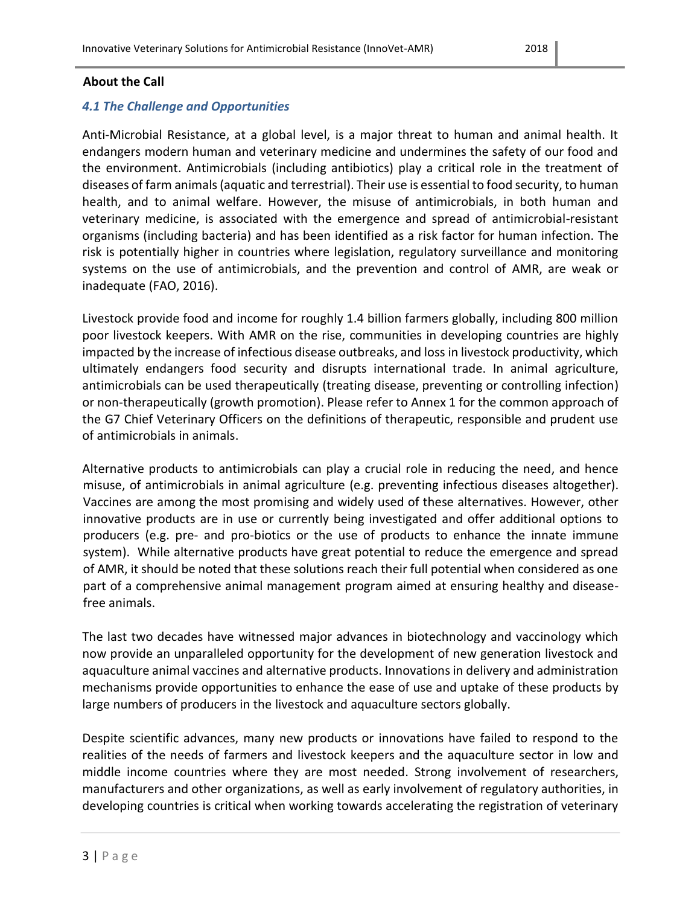### <span id="page-2-0"></span>**About the Call**

# <span id="page-2-1"></span>*4.1 The Challenge and Opportunities*

Anti-Microbial Resistance, at a global level, is a major threat to human and animal health. It endangers modern human and veterinary medicine and undermines the safety of our food and the environment. Antimicrobials (including antibiotics) play a critical role in the treatment of diseases of farm animals (aquatic and terrestrial). Their use is essential to food security, to human health, and to animal welfare. However, the misuse of antimicrobials, in both human and veterinary medicine, is associated with the emergence and spread of antimicrobial-resistant organisms (including bacteria) and has been identified as a risk factor for human infection. The risk is potentially higher in countries where legislation, regulatory surveillance and monitoring systems on the use of antimicrobials, and the prevention and control of AMR, are weak or inadequate (FAO, 2016).

Livestock provide food and income for roughly 1.4 billion farmers globally, including 800 million poor livestock keepers. With AMR on the rise, communities in developing countries are highly impacted by the increase of infectious disease outbreaks, and loss in livestock productivity, which ultimately endangers food security and disrupts international trade. In animal agriculture, antimicrobials can be used therapeutically (treating disease, preventing or controlling infection) or non-therapeutically (growth promotion). Please refer to Annex 1 for the common approach of the G7 Chief Veterinary Officers on the definitions of therapeutic, responsible and prudent use of antimicrobials in animals.

Alternative products to antimicrobials can play a crucial role in reducing the need, and hence misuse, of antimicrobials in animal agriculture (e.g. preventing infectious diseases altogether). Vaccines are among the most promising and widely used of these alternatives. However, other innovative products are in use or currently being investigated and offer additional options to producers (e.g. pre- and pro-biotics or the use of products to enhance the innate immune system). While alternative products have great potential to reduce the emergence and spread of AMR, it should be noted that these solutions reach their full potential when considered as one part of a comprehensive animal management program aimed at ensuring healthy and diseasefree animals.

The last two decades have witnessed major advances in biotechnology and vaccinology which now provide an unparalleled opportunity for the development of new generation livestock and aquaculture animal vaccines and alternative products. Innovations in delivery and administration mechanisms provide opportunities to enhance the ease of use and uptake of these products by large numbers of producers in the livestock and aquaculture sectors globally.

Despite scientific advances, many new products or innovations have failed to respond to the realities of the needs of farmers and livestock keepers and the aquaculture sector in low and middle income countries where they are most needed. Strong involvement of researchers, manufacturers and other organizations, as well as early involvement of regulatory authorities, in developing countries is critical when working towards accelerating the registration of veterinary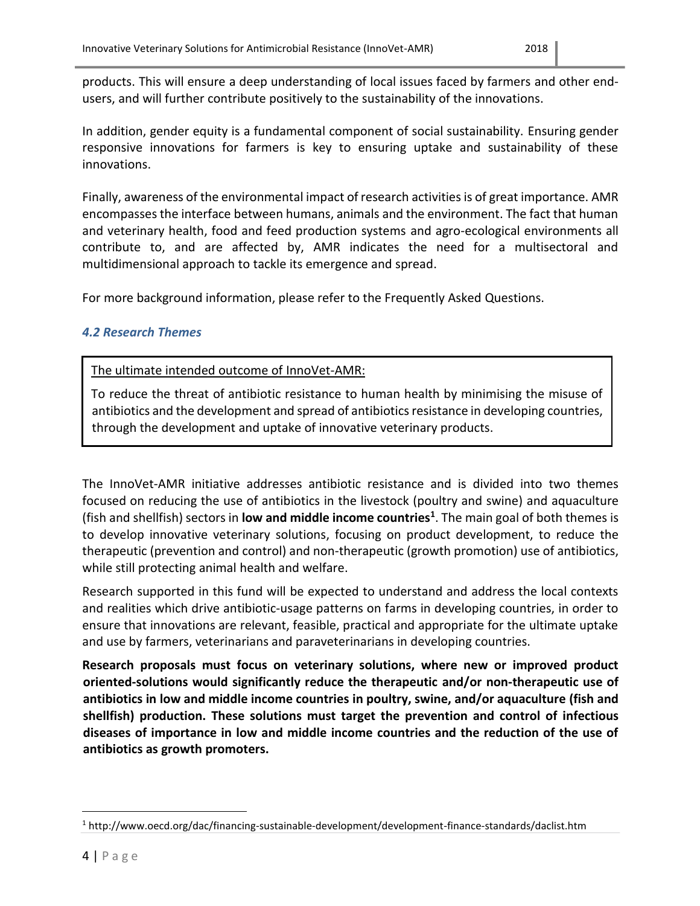products. This will ensure a deep understanding of local issues faced by farmers and other endusers, and will further contribute positively to the sustainability of the innovations.

In addition, gender equity is a fundamental component of social sustainability. Ensuring gender responsive innovations for farmers is key to ensuring uptake and sustainability of these innovations.

Finally, awareness of the environmental impact of research activities is of great importance. AMR encompasses the interface between humans, animals and the environment. The fact that human and veterinary health, food and feed production systems and agro-ecological environments all contribute to, and are affected by, AMR indicates the need for a multisectoral and multidimensional approach to tackle its emergence and spread.

For more background information, please refer to the Frequently Asked Questions.

# <span id="page-3-0"></span>*4.2 Research Themes*

The ultimate intended outcome of InnoVet-AMR:

To reduce the threat of antibiotic resistance to human health by minimising the misuse of antibiotics and the development and spread of antibiotics resistance in developing countries, through the development and uptake of innovative veterinary products.

The InnoVet-AMR initiative addresses antibiotic resistance and is divided into two themes focused on reducing the use of antibiotics in the livestock (poultry and swine) and aquaculture (fish and shellfish) sectors in **low and middle income countries<sup>1</sup>** . The main goal of both themes is to develop innovative veterinary solutions, focusing on product development, to reduce the therapeutic (prevention and control) and non-therapeutic (growth promotion) use of antibiotics, while still protecting animal health and welfare.

Research supported in this fund will be expected to understand and address the local contexts and realities which drive antibiotic-usage patterns on farms in developing countries, in order to ensure that innovations are relevant, feasible, practical and appropriate for the ultimate uptake and use by farmers, veterinarians and paraveterinarians in developing countries.

**Research proposals must focus on veterinary solutions, where new or improved product oriented-solutions would significantly reduce the therapeutic and/or non-therapeutic use of antibiotics in low and middle income countries in poultry, swine, and/or aquaculture (fish and shellfish) production. These solutions must target the prevention and control of infectious diseases of importance in low and middle income countries and the reduction of the use of antibiotics as growth promoters.**

 $\overline{a}$ 

<sup>1</sup> http://www.oecd.org/dac/financing-sustainable-development/development-finance-standards/daclist.htm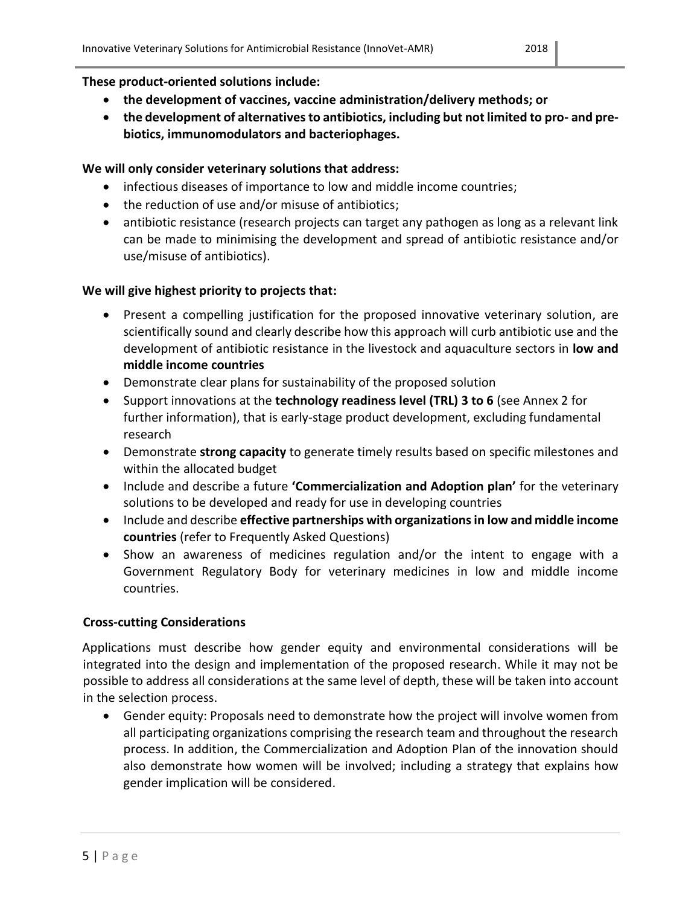# **These product-oriented solutions include:**

- **the development of vaccines, vaccine administration/delivery methods; or**
- **the development of alternatives to antibiotics, including but not limited to pro- and prebiotics, immunomodulators and bacteriophages.**

# **We will only consider veterinary solutions that address:**

- infectious diseases of importance to low and middle income countries;
- the reduction of use and/or misuse of antibiotics;
- antibiotic resistance (research projects can target any pathogen as long as a relevant link can be made to minimising the development and spread of antibiotic resistance and/or use/misuse of antibiotics).

# **We will give highest priority to projects that:**

- Present a compelling justification for the proposed innovative veterinary solution, are scientifically sound and clearly describe how this approach will curb antibiotic use and the development of antibiotic resistance in the livestock and aquaculture sectors in **low and middle income countries**
- Demonstrate clear plans for sustainability of the proposed solution
- Support innovations at the **technology readiness level (TRL) 3 to 6** (see Annex 2 for further information), that is early-stage product development, excluding fundamental research
- Demonstrate **strong capacity** to generate timely results based on specific milestones and within the allocated budget
- Include and describe a future **'Commercialization and Adoption plan'** for the veterinary solutions to be developed and ready for use in developing countries
- Include and describe **effective partnerships with organizations in low and middle income countries** (refer to Frequently Asked Questions)
- Show an awareness of medicines regulation and/or the intent to engage with a Government Regulatory Body for veterinary medicines in low and middle income countries.

# <span id="page-4-0"></span>**Cross-cutting Considerations**

Applications must describe how gender equity and environmental considerations will be integrated into the design and implementation of the proposed research. While it may not be possible to address all considerations at the same level of depth, these will be taken into account in the selection process.

 Gender equity: Proposals need to demonstrate how the project will involve women from all participating organizations comprising the research team and throughout the research process. In addition, the Commercialization and Adoption Plan of the innovation should also demonstrate how women will be involved; including a strategy that explains how gender implication will be considered.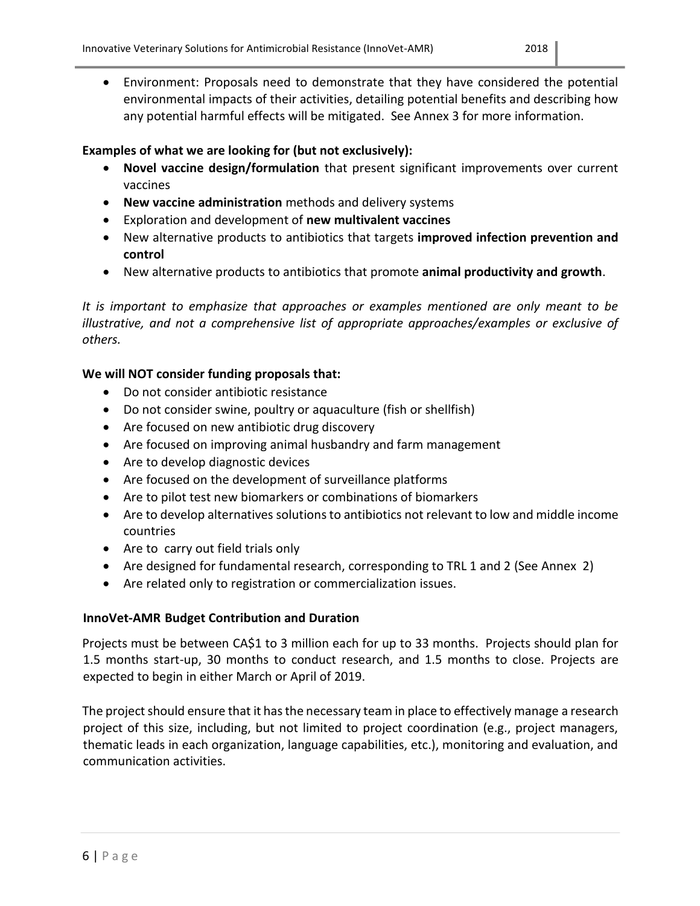Environment: Proposals need to demonstrate that they have considered the potential environmental impacts of their activities, detailing potential benefits and describing how any potential harmful effects will be mitigated. See Annex 3 for more information.

# **Examples of what we are looking for (but not exclusively):**

- **Novel vaccine design/formulation** that present significant improvements over current vaccines
- **New vaccine administration** methods and delivery systems
- Exploration and development of **new multivalent vaccines**
- New alternative products to antibiotics that targets **improved infection prevention and control**
- New alternative products to antibiotics that promote **animal productivity and growth**.

*It is important to emphasize that approaches or examples mentioned are only meant to be illustrative, and not a comprehensive list of appropriate approaches/examples or exclusive of others.*

# **We will NOT consider funding proposals that:**

- Do not consider antibiotic resistance
- Do not consider swine, poultry or aquaculture (fish or shellfish)
- Are focused on new antibiotic drug discovery
- Are focused on improving animal husbandry and farm management
- Are to develop diagnostic devices
- Are focused on the development of surveillance platforms
- Are to pilot test new biomarkers or combinations of biomarkers
- Are to develop alternatives solutions to antibiotics not relevant to low and middle income countries
- Are to carry out field trials only
- Are designed for fundamental research, corresponding to TRL 1 and 2 (See Annex 2)
- Are related only to registration or commercialization issues.

# <span id="page-5-0"></span>**InnoVet-AMR Budget Contribution and Duration**

Projects must be between CA\$1 to 3 million each for up to 33 months. Projects should plan for 1.5 months start-up, 30 months to conduct research, and 1.5 months to close. Projects are expected to begin in either March or April of 2019.

The project should ensure that it has the necessary team in place to effectively manage a research project of this size, including, but not limited to project coordination (e.g., project managers, thematic leads in each organization, language capabilities, etc.), monitoring and evaluation, and communication activities.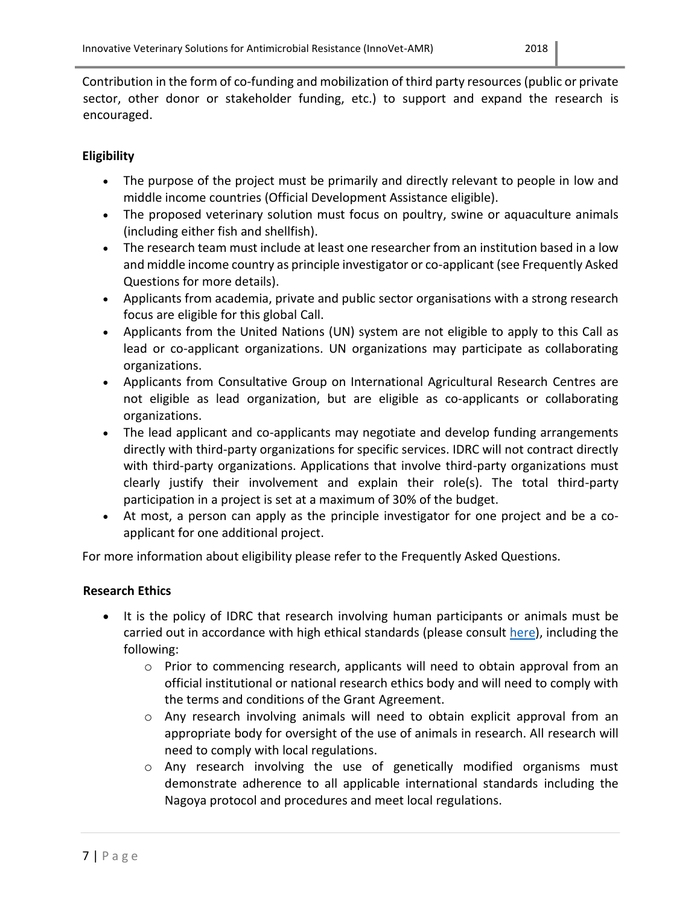Contribution in the form of co-funding and mobilization of third party resources (public or private sector, other donor or stakeholder funding, etc.) to support and expand the research is encouraged.

# <span id="page-6-0"></span>**Eligibility**

- The purpose of the project must be primarily and directly relevant to people in low and middle income countries (Official Development Assistance eligible).
- The proposed veterinary solution must focus on poultry, swine or aquaculture animals (including either fish and shellfish).
- The research team must include at least one researcher from an institution based in a low and middle income country as principle investigator or co-applicant (see Frequently Asked Questions for more details).
- Applicants from academia, private and public sector organisations with a strong research focus are eligible for this global Call.
- Applicants from the United Nations (UN) system are not eligible to apply to this Call as lead or co-applicant organizations. UN organizations may participate as collaborating organizations.
- Applicants from Consultative Group on International Agricultural Research Centres are not eligible as lead organization, but are eligible as co-applicants or collaborating organizations.
- The lead applicant and co-applicants may negotiate and develop funding arrangements directly with third-party organizations for specific services. IDRC will not contract directly with third-party organizations. Applications that involve third-party organizations must clearly justify their involvement and explain their role(s). The total third-party participation in a project is set at a maximum of 30% of the budget.
- At most, a person can apply as the principle investigator for one project and be a coapplicant for one additional project.

For more information about eligibility please refer to the Frequently Asked Questions.

# <span id="page-6-1"></span>**Research Ethics**

- It is the policy of IDRC that research involving human participants or animals must be carried out in accordance with high ethical standards (please consult [here\)](https://www.idrc.ca/en/idrcs-advisory-committee-research-ethics), including the following:
	- o Prior to commencing research, applicants will need to obtain approval from an official institutional or national research ethics body and will need to comply with the terms and conditions of the Grant Agreement.
	- o Any research involving animals will need to obtain explicit approval from an appropriate body for oversight of the use of animals in research. All research will need to comply with local regulations.
	- o Any research involving the use of genetically modified organisms must demonstrate adherence to all applicable international standards including the Nagoya protocol and procedures and meet local regulations.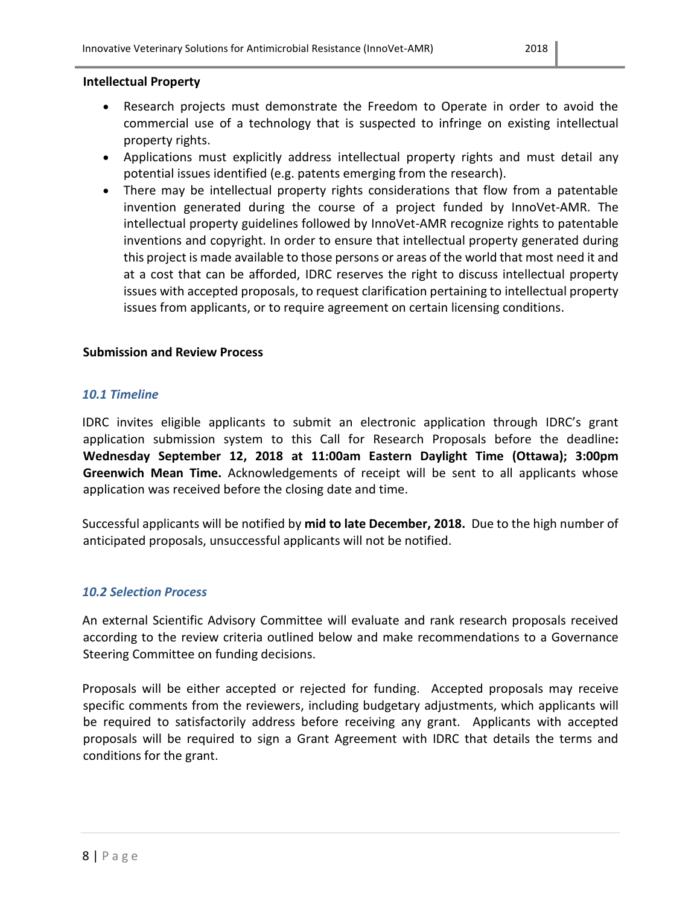- <span id="page-7-0"></span> Research projects must demonstrate the Freedom to Operate in order to avoid the commercial use of a technology that is suspected to infringe on existing intellectual property rights.
- Applications must explicitly address intellectual property rights and must detail any potential issues identified (e.g. patents emerging from the research).
- There may be intellectual property rights considerations that flow from a patentable invention generated during the course of a project funded by InnoVet-AMR. The intellectual property guidelines followed by InnoVet-AMR recognize rights to patentable inventions and copyright. In order to ensure that intellectual property generated during this project is made available to those persons or areas of the world that most need it and at a cost that can be afforded, IDRC reserves the right to discuss intellectual property issues with accepted proposals, to request clarification pertaining to intellectual property issues from applicants, or to require agreement on certain licensing conditions.

# <span id="page-7-1"></span>**Submission and Review Process**

### <span id="page-7-2"></span>*10.1 Timeline*

IDRC invites eligible applicants to submit an electronic application through IDRC's grant application submission system to this Call for Research Proposals before the deadline**: Wednesday September 12, 2018 at 11:00am Eastern Daylight Time (Ottawa); 3:00pm Greenwich Mean Time.** Acknowledgements of receipt will be sent to all applicants whose application was received before the closing date and time.

Successful applicants will be notified by **mid to late December, 2018.** Due to the high number of anticipated proposals, unsuccessful applicants will not be notified.

# <span id="page-7-3"></span>*10.2 Selection Process*

An external Scientific Advisory Committee will evaluate and rank research proposals received according to the review criteria outlined below and make recommendations to a Governance Steering Committee on funding decisions.

Proposals will be either accepted or rejected for funding. Accepted proposals may receive specific comments from the reviewers, including budgetary adjustments, which applicants will be required to satisfactorily address before receiving any grant. Applicants with accepted proposals will be required to sign a Grant Agreement with IDRC that details the terms and conditions for the grant.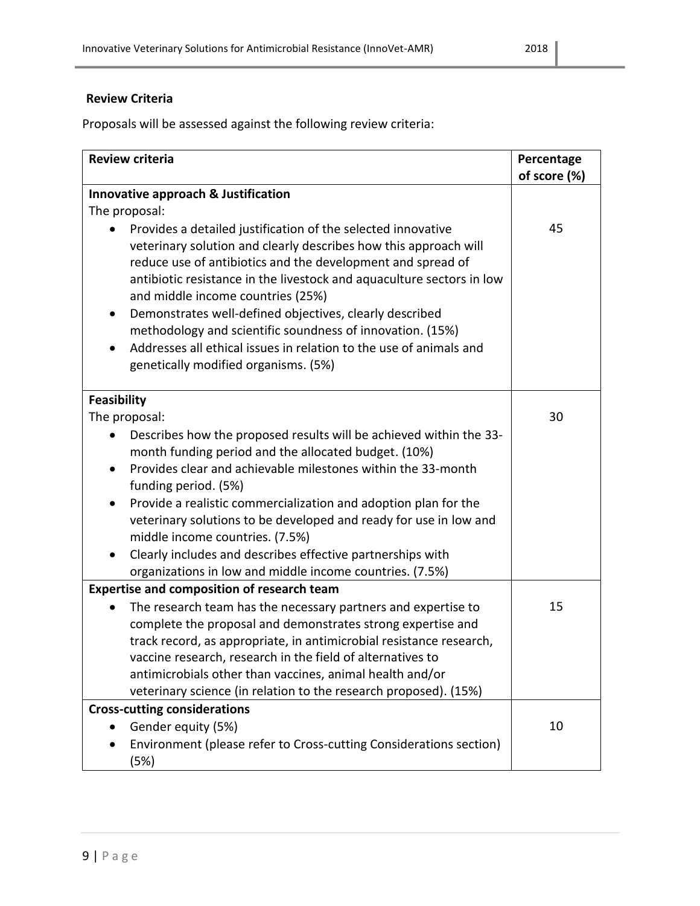# <span id="page-8-0"></span>**Review Criteria**

Proposals will be assessed against the following review criteria:

| <b>Review criteria</b>                                                                                                                                                                                                                                                                                                                                                                                                                                                                                                                                                        | Percentage<br>of score (%) |
|-------------------------------------------------------------------------------------------------------------------------------------------------------------------------------------------------------------------------------------------------------------------------------------------------------------------------------------------------------------------------------------------------------------------------------------------------------------------------------------------------------------------------------------------------------------------------------|----------------------------|
| Innovative approach & Justification                                                                                                                                                                                                                                                                                                                                                                                                                                                                                                                                           |                            |
| The proposal:                                                                                                                                                                                                                                                                                                                                                                                                                                                                                                                                                                 |                            |
| Provides a detailed justification of the selected innovative<br>veterinary solution and clearly describes how this approach will<br>reduce use of antibiotics and the development and spread of<br>antibiotic resistance in the livestock and aquaculture sectors in low<br>and middle income countries (25%)<br>Demonstrates well-defined objectives, clearly described<br>$\bullet$<br>methodology and scientific soundness of innovation. (15%)<br>Addresses all ethical issues in relation to the use of animals and<br>$\bullet$<br>genetically modified organisms. (5%) | 45                         |
| <b>Feasibility</b>                                                                                                                                                                                                                                                                                                                                                                                                                                                                                                                                                            |                            |
| The proposal:                                                                                                                                                                                                                                                                                                                                                                                                                                                                                                                                                                 | 30                         |
| Describes how the proposed results will be achieved within the 33-<br>month funding period and the allocated budget. (10%)<br>Provides clear and achievable milestones within the 33-month<br>funding period. (5%)<br>Provide a realistic commercialization and adoption plan for the                                                                                                                                                                                                                                                                                         |                            |
| veterinary solutions to be developed and ready for use in low and<br>middle income countries. (7.5%)                                                                                                                                                                                                                                                                                                                                                                                                                                                                          |                            |
| Clearly includes and describes effective partnerships with<br>$\bullet$                                                                                                                                                                                                                                                                                                                                                                                                                                                                                                       |                            |
| organizations in low and middle income countries. (7.5%)<br><b>Expertise and composition of research team</b>                                                                                                                                                                                                                                                                                                                                                                                                                                                                 |                            |
| The research team has the necessary partners and expertise to<br>complete the proposal and demonstrates strong expertise and<br>track record, as appropriate, in antimicrobial resistance research,<br>vaccine research, research in the field of alternatives to<br>antimicrobials other than vaccines, animal health and/or                                                                                                                                                                                                                                                 | 15                         |
| veterinary science (in relation to the research proposed). (15%)                                                                                                                                                                                                                                                                                                                                                                                                                                                                                                              |                            |
| <b>Cross-cutting considerations</b>                                                                                                                                                                                                                                                                                                                                                                                                                                                                                                                                           |                            |
| Gender equity (5%)<br>$\bullet$                                                                                                                                                                                                                                                                                                                                                                                                                                                                                                                                               | 10                         |
| Environment (please refer to Cross-cutting Considerations section)<br>(5%)                                                                                                                                                                                                                                                                                                                                                                                                                                                                                                    |                            |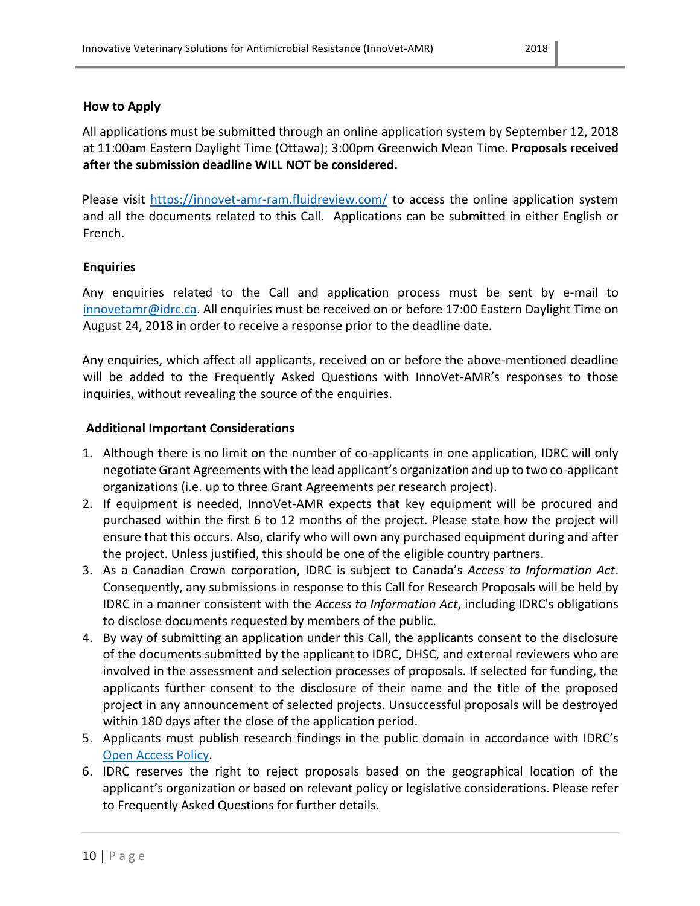### <span id="page-9-0"></span>**How to Apply**

All applications must be submitted through an online application system by September 12, 2018 at 11:00am Eastern Daylight Time (Ottawa); 3:00pm Greenwich Mean Time. **Proposals received after the submission deadline WILL NOT be considered.** 

Please visit<https://innovet-amr-ram.fluidreview.com/> to access the online application system and all the documents related to this Call. Applications can be submitted in either English or French.

### <span id="page-9-1"></span>**Enquiries**

Any enquiries related to the Call and application process must be sent by e-mail to [innovetamr@idrc.ca.](mailto:innovetamr@idrc.ca) All enquiries must be received on or before 17:00 Eastern Daylight Time on August 24, 2018 in order to receive a response prior to the deadline date.

Any enquiries, which affect all applicants, received on or before the above-mentioned deadline will be added to the Frequently Asked Questions with InnoVet-AMR's responses to those inquiries, without revealing the source of the enquiries.

#### <span id="page-9-2"></span>**Additional Important Considerations**

- 1. Although there is no limit on the number of co-applicants in one application, IDRC will only negotiate Grant Agreements with the lead applicant's organization and up to two co-applicant organizations (i.e. up to three Grant Agreements per research project).
- 2. If equipment is needed, InnoVet-AMR expects that key equipment will be procured and purchased within the first 6 to 12 months of the project. Please state how the project will ensure that this occurs. Also, clarify who will own any purchased equipment during and after the project. Unless justified, this should be one of the eligible country partners.
- 3. As a Canadian Crown corporation, IDRC is subject to Canada's *Access to Information Act*. Consequently, any submissions in response to this Call for Research Proposals will be held by IDRC in a manner consistent with the *Access to Information Act*, including IDRC's obligations to disclose documents requested by members of the public.
- 4. By way of submitting an application under this Call, the applicants consent to the disclosure of the documents submitted by the applicant to IDRC, DHSC, and external reviewers who are involved in the assessment and selection processes of proposals. If selected for funding, the applicants further consent to the disclosure of their name and the title of the proposed project in any announcement of selected projects. Unsuccessful proposals will be destroyed within 180 days after the close of the application period.
- 5. Applicants must publish research findings in the public domain in accordance with IDRC's [Open Access Policy.](https://www.idrc.ca/en/open-access-policy-idrc-funded-project-outputs)
- 6. IDRC reserves the right to reject proposals based on the geographical location of the applicant's organization or based on relevant policy or legislative considerations. Please refer to Frequently Asked Questions for further details.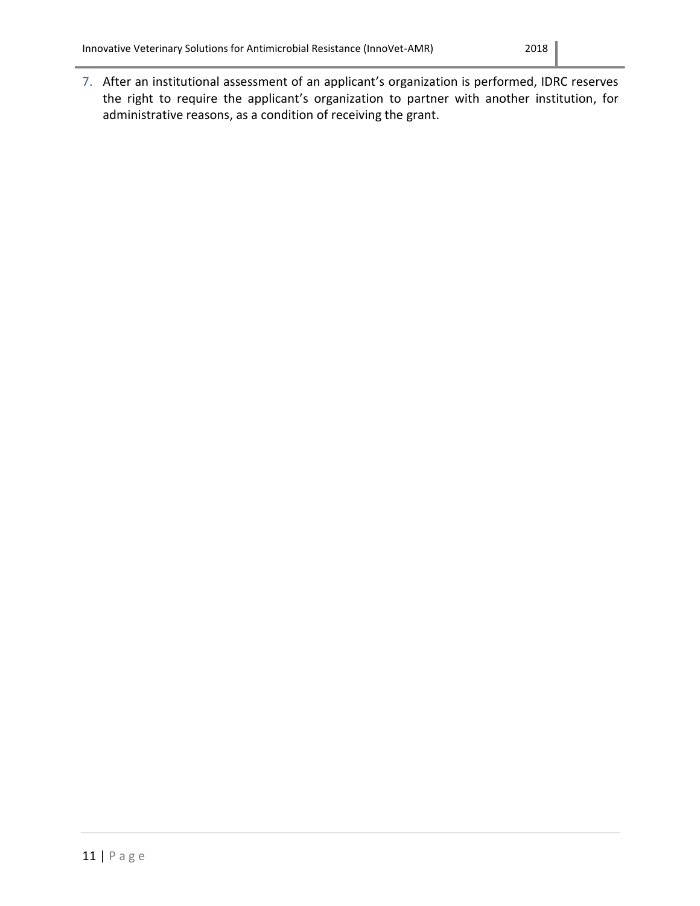7. After an institutional assessment of an applicant's organization is performed, IDRC reserves the right to require the applicant's organization to partner with another institution, for administrative reasons, as a condition of receiving the grant.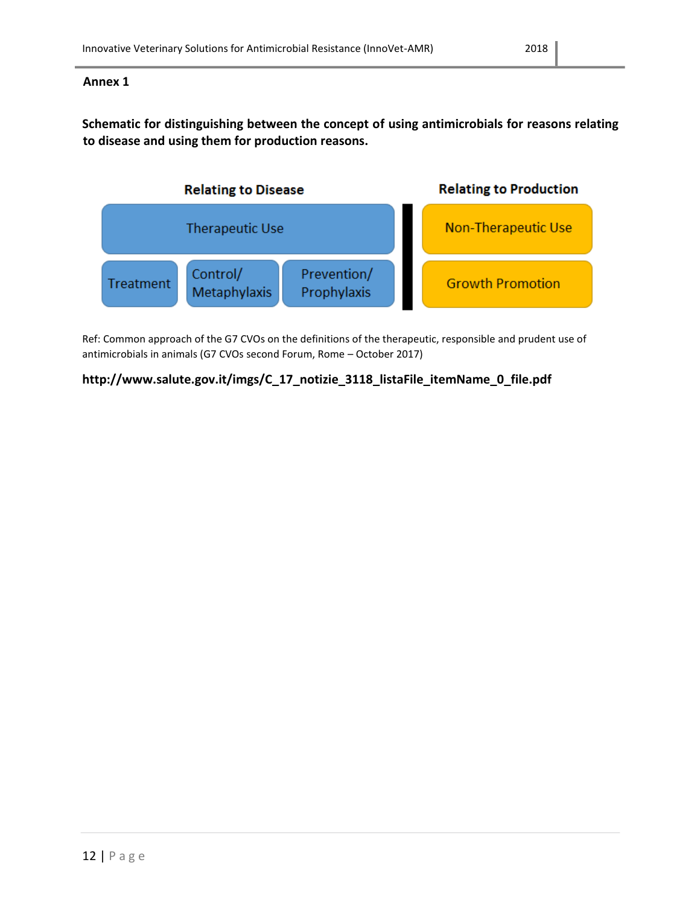### <span id="page-11-0"></span>**Annex 1**

**Schematic for distinguishing between the concept of using antimicrobials for reasons relating to disease and using them for production reasons.**



Ref: Common approach of the G7 CVOs on the definitions of the therapeutic, responsible and prudent use of antimicrobials in animals (G7 CVOs second Forum, Rome – October 2017)

# **http://www.salute.gov.it/imgs/C\_17\_notizie\_3118\_listaFile\_itemName\_0\_file.pdf**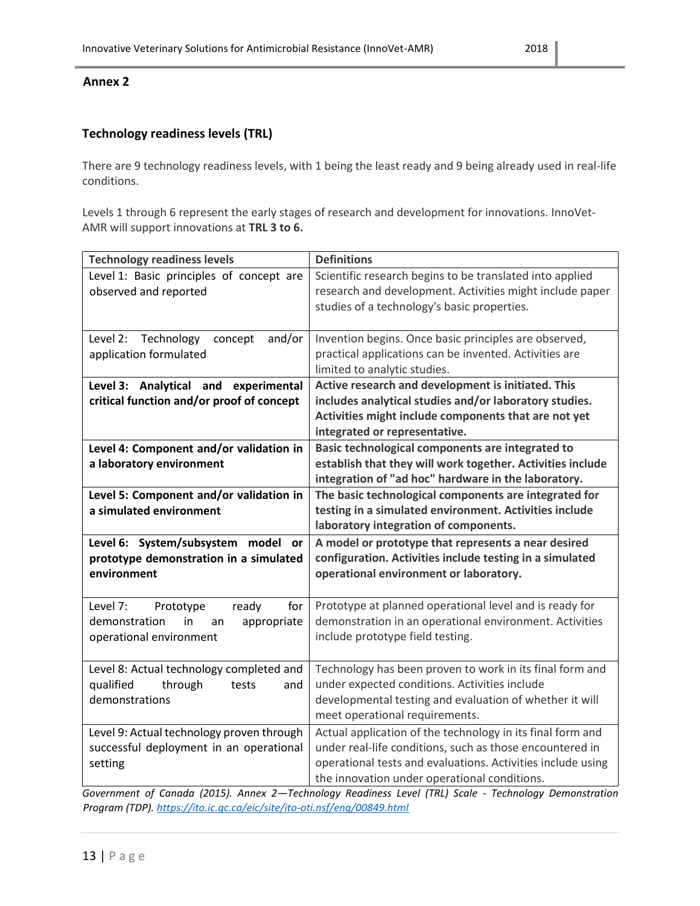#### <span id="page-12-0"></span>**Annex 2**

# **Technology readiness levels (TRL)**

There are 9 technology readiness levels, with 1 being the least ready and 9 being already used in real-life conditions.

Levels 1 through 6 represent the early stages of research and development for innovations. InnoVet-AMR will support innovations at **TRL 3 to 6.**

| <b>Technology readiness levels</b>                                  | <b>Definitions</b>                                                                |
|---------------------------------------------------------------------|-----------------------------------------------------------------------------------|
| Level 1: Basic principles of concept are                            | Scientific research begins to be translated into applied                          |
| observed and reported                                               | research and development. Activities might include paper                          |
|                                                                     | studies of a technology's basic properties.                                       |
|                                                                     |                                                                                   |
| Level 2:<br>Technology<br>and/or<br>concept                         | Invention begins. Once basic principles are observed,                             |
| application formulated                                              | practical applications can be invented. Activities are                            |
|                                                                     | limited to analytic studies.                                                      |
| Level 3: Analytical and experimental                                | Active research and development is initiated. This                                |
| critical function and/or proof of concept                           | includes analytical studies and/or laboratory studies.                            |
|                                                                     | Activities might include components that are not yet                              |
|                                                                     | integrated or representative.<br>Basic technological components are integrated to |
| Level 4: Component and/or validation in<br>a laboratory environment | establish that they will work together. Activities include                        |
|                                                                     | integration of "ad hoc" hardware in the laboratory.                               |
| Level 5: Component and/or validation in                             | The basic technological components are integrated for                             |
| a simulated environment                                             | testing in a simulated environment. Activities include                            |
|                                                                     | laboratory integration of components.                                             |
| Level 6: System/subsystem model<br>or                               | A model or prototype that represents a near desired                               |
| prototype demonstration in a simulated                              | configuration. Activities include testing in a simulated                          |
| environment                                                         | operational environment or laboratory.                                            |
|                                                                     |                                                                                   |
| Level 7:<br>ready<br>for<br>Prototype                               | Prototype at planned operational level and is ready for                           |
| demonstration<br>appropriate<br>in<br>an                            | demonstration in an operational environment. Activities                           |
| operational environment                                             | include prototype field testing.                                                  |
|                                                                     |                                                                                   |
| Level 8: Actual technology completed and                            | Technology has been proven to work in its final form and                          |
| qualified<br>through<br>tests<br>and                                | under expected conditions. Activities include                                     |
| demonstrations                                                      | developmental testing and evaluation of whether it will                           |
|                                                                     | meet operational requirements.                                                    |
| Level 9: Actual technology proven through                           | Actual application of the technology in its final form and                        |
| successful deployment in an operational                             | under real-life conditions, such as those encountered in                          |
| setting                                                             | operational tests and evaluations. Activities include using                       |
|                                                                     | the innovation under operational conditions.                                      |

*Government of Canada (2015). Annex 2—Technology Readiness Level (TRL) Scale - Technology Demonstration Program (TDP).<https://ito.ic.gc.ca/eic/site/ito-oti.nsf/eng/00849.html>*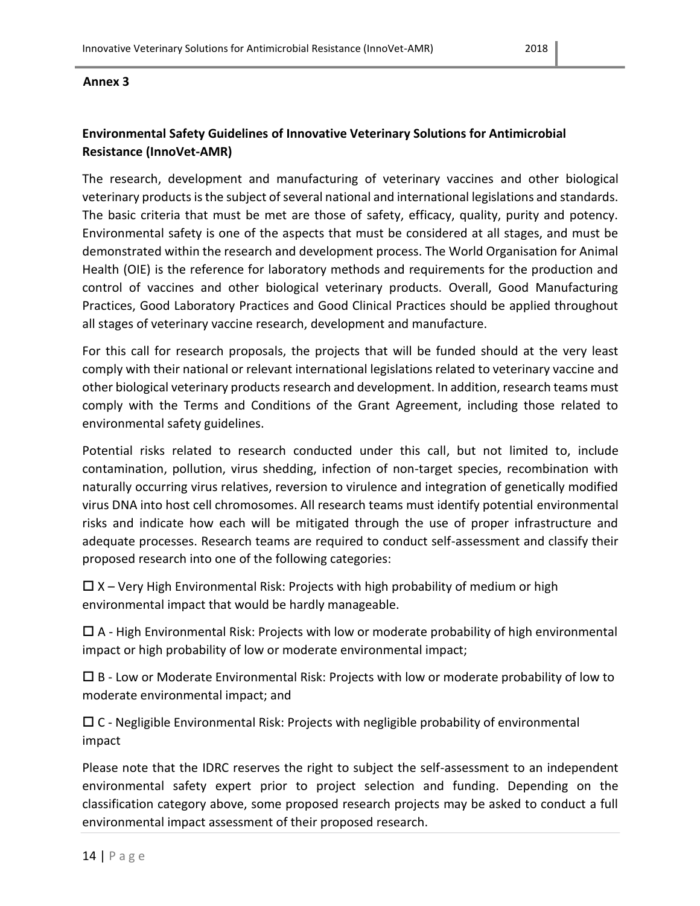#### <span id="page-13-0"></span>**Annex 3**

# **Environmental Safety Guidelines of Innovative Veterinary Solutions for Antimicrobial Resistance (InnoVet-AMR)**

The research, development and manufacturing of veterinary vaccines and other biological veterinary productsis the subject of several national and international legislations and standards. The basic criteria that must be met are those of safety, efficacy, quality, purity and potency. Environmental safety is one of the aspects that must be considered at all stages, and must be demonstrated within the research and development process. The World Organisation for Animal Health (OIE) is the reference for laboratory methods and requirements for the production and control of vaccines and other biological veterinary products. Overall, Good Manufacturing Practices, Good Laboratory Practices and Good Clinical Practices should be applied throughout all stages of veterinary vaccine research, development and manufacture.

For this call for research proposals, the projects that will be funded should at the very least comply with their national or relevant international legislations related to veterinary vaccine and other biological veterinary products research and development. In addition, research teams must comply with the Terms and Conditions of the Grant Agreement, including those related to environmental safety guidelines.

Potential risks related to research conducted under this call, but not limited to, include contamination, pollution, virus shedding, infection of non-target species, recombination with naturally occurring virus relatives, reversion to virulence and integration of genetically modified virus DNA into host cell chromosomes. All research teams must identify potential environmental risks and indicate how each will be mitigated through the use of proper infrastructure and adequate processes. Research teams are required to conduct self-assessment and classify their proposed research into one of the following categories:

 $\square$  X – Very High Environmental Risk: Projects with high probability of medium or high environmental impact that would be hardly manageable.

 $\Box$  A - High Environmental Risk: Projects with low or moderate probability of high environmental impact or high probability of low or moderate environmental impact;

 $\square$  B - Low or Moderate Environmental Risk: Projects with low or moderate probability of low to moderate environmental impact; and

 $\square$  C - Negligible Environmental Risk: Projects with negligible probability of environmental impact

Please note that the IDRC reserves the right to subject the self-assessment to an independent environmental safety expert prior to project selection and funding. Depending on the classification category above, some proposed research projects may be asked to conduct a full environmental impact assessment of their proposed research.